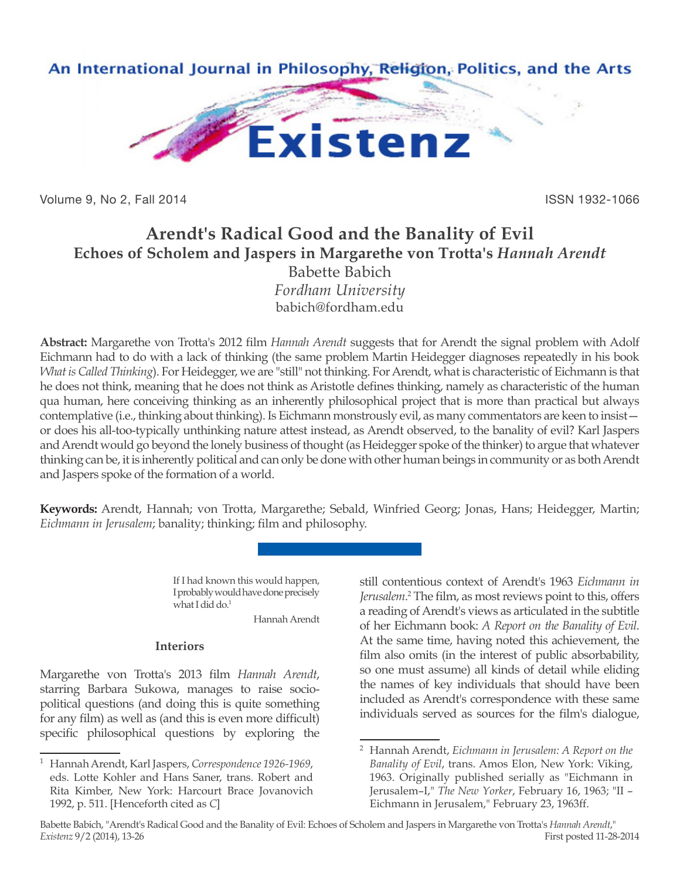

Volume 9, No 2, Fall 2014 **ISSN 1932-1066** 

# **Arendt's Radical Good and the Banality of Evil Echoes of Scholem and Jaspers in Margarethe von Trotta's** *Hannah Arendt* Babette Babich

*Fordham University* babich@fordham.edu

**Abstract:** Margarethe von Trotta's 2012 film *Hannah Arendt* suggests that for Arendt the signal problem with Adolf Eichmann had to do with a lack of thinking (the same problem Martin Heidegger diagnoses repeatedly in his book *What is Called Thinking*). For Heidegger, we are "still" not thinking. For Arendt, what is characteristic of Eichmann is that he does not think, meaning that he does not think as Aristotle defines thinking, namely as characteristic of the human qua human, here conceiving thinking as an inherently philosophical project that is more than practical but always contemplative (i.e., thinking about thinking). Is Eichmann monstrously evil, as many commentators are keen to insist or does his all-too-typically unthinking nature attest instead, as Arendt observed, to the banality of evil? Karl Jaspers and Arendt would go beyond the lonely business of thought (as Heidegger spoke of the thinker) to argue that whatever thinking can be, it is inherently political and can only be done with other human beings in community or as both Arendt and Jaspers spoke of the formation of a world.

**Keywords:** Arendt, Hannah; von Trotta, Margarethe; Sebald, Winfried Georg; Jonas, Hans; Heidegger, Martin; *Eichmann in Jerusalem*; banality; thinking; film and philosophy.

> If I had known this would happen, I probably would have done precisely what I did do.<sup>1</sup>

Hannah Arendt

# **Interiors**

Margarethe von Trotta's 2013 film *Hannah Arendt*, starring Barbara Sukowa, manages to raise sociopolitical questions (and doing this is quite something for any film) as well as (and this is even more difficult) specific philosophical questions by exploring the still contentious context of Arendt's 1963 *Eichmann in*  Jerusalem.<sup>2</sup> The film, as most reviews point to this, offers a reading of Arendt's views as articulated in the subtitle of her Eichmann book: *A Report on the Banality of Evil*. At the same time, having noted this achievement, the film also omits (in the interest of public absorbability, so one must assume) all kinds of detail while eliding the names of key individuals that should have been included as Arendt's correspondence with these same individuals served as sources for the film's dialogue,

<sup>1</sup> Hannah Arendt, Karl Jaspers, *Correspondence 1926-1969*, eds. Lotte Kohler and Hans Saner, trans. Robert and Rita Kimber, New York: Harcourt Brace Jovanovich 1992, p. 511. [Henceforth cited as *C*]

<sup>2</sup> Hannah Arendt, *Eichmann in Jerusalem: A Report on the Banality of Evil*, trans. Amos Elon, New York: Viking, 1963. Originally published serially as "Eichmann in Jerusalem–I," *The New Yorker*, February 16, 1963; "II – Eichmann in Jerusalem," February 23, 1963ff.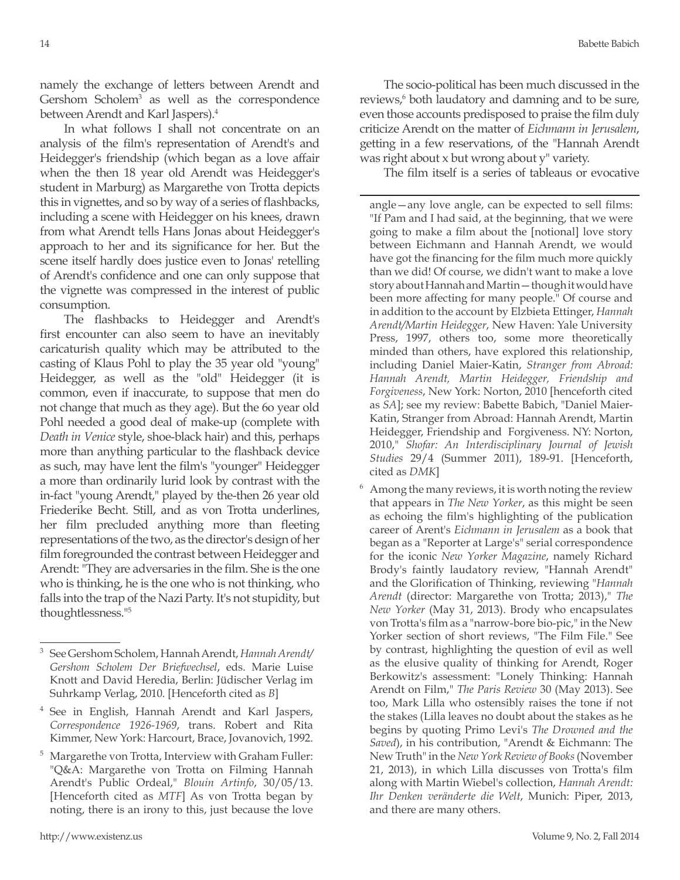namely the exchange of letters between Arendt and Gershom Scholem<sup>3</sup> as well as the correspondence between Arendt and Karl Jaspers).<sup>4</sup>

In what follows I shall not concentrate on an analysis of the film's representation of Arendt's and Heidegger's friendship (which began as a love affair when the then 18 year old Arendt was Heidegger's student in Marburg) as Margarethe von Trotta depicts this in vignettes, and so by way of a series of flashbacks, including a scene with Heidegger on his knees, drawn from what Arendt tells Hans Jonas about Heidegger's approach to her and its significance for her. But the scene itself hardly does justice even to Jonas' retelling of Arendt's confidence and one can only suppose that the vignette was compressed in the interest of public consumption.

The flashbacks to Heidegger and Arendt's first encounter can also seem to have an inevitably caricaturish quality which may be attributed to the casting of Klaus Pohl to play the 35 year old "young" Heidegger, as well as the "old" Heidegger (it is common, even if inaccurate, to suppose that men do not change that much as they age). But the 6o year old Pohl needed a good deal of make-up (complete with *Death in Venice* style, shoe-black hair) and this, perhaps more than anything particular to the flashback device as such, may have lent the film's "younger" Heidegger a more than ordinarily lurid look by contrast with the in-fact "young Arendt," played by the-then 26 year old Friederike Becht. Still, and as von Trotta underlines, her film precluded anything more than fleeting representations of the two, as the director's design of her film foregrounded the contrast between Heidegger and Arendt: "They are adversaries in the film. She is the one who is thinking, he is the one who is not thinking, who falls into the trap of the Nazi Party. It's not stupidity, but thoughtlessness."5

- <sup>4</sup> See in English, Hannah Arendt and Karl Jaspers, *Correspondence 1926-1969*, trans. Robert and Rita Kimmer, New York: Harcourt, Brace, Jovanovich, 1992.
- <sup>5</sup> Margarethe von Trotta, Interview with Graham Fuller: "Q&A: Margarethe von Trotta on Filming Hannah Arendt's Public Ordeal," *Blouin Artinfo*, 30/05/13. [Henceforth cited as *MTF*] As von Trotta began by noting, there is an irony to this, just because the love

The socio-political has been much discussed in the reviews,<sup>6</sup> both laudatory and damning and to be sure, even those accounts predisposed to praise the film duly criticize Arendt on the matter of *Eichmann in Jerusalem*, getting in a few reservations, of the "Hannah Arendt was right about x but wrong about y" variety.

The film itself is a series of tableaus or evocative

angle—any love angle, can be expected to sell films: "If Pam and I had said, at the beginning, that we were going to make a film about the [notional] love story between Eichmann and Hannah Arendt, we would have got the financing for the film much more quickly than we did! Of course, we didn't want to make a love story about Hannah and Martin—though it would have been more affecting for many people." Of course and in addition to the account by Elzbieta Ettinger, *Hannah Arendt/Martin Heidegger*, New Haven: Yale University Press, 1997, others too, some more theoretically minded than others, have explored this relationship, including Daniel Maier-Katin, *Stranger from Abroad: Hannah Arendt, Martin Heidegger, Friendship and Forgiveness*, New York: Norton, 2010 [henceforth cited as *SA*]; see my review: Babette Babich, "Daniel Maier-Katin, Stranger from Abroad: Hannah Arendt, Martin Heidegger, Friendship and Forgiveness. NY: Norton, 2010," *Shofar: An Interdisciplinary Journal of Jewish Studies* 29/4 (Summer 2011), 189-91. [Henceforth, cited as *DMK*]

 $6$  Among the many reviews, it is worth noting the review that appears in *The New Yorker*, as this might be seen as echoing the film's highlighting of the publication career of Arent's *Eichmann in Jerusalem* as a book that began as a "Reporter at Large's" serial correspondence for the iconic *New Yorker Magazine*, namely Richard Brody's faintly laudatory review, "Hannah Arendt" and the Glorification of Thinking, reviewing "*Hannah Arendt* (director: Margarethe von Trotta; 2013)," *The New Yorker* (May 31, 2013). Brody who encapsulates von Trotta's film as a "narrow-bore bio-pic," in the New Yorker section of short reviews, "The Film File." See by contrast, highlighting the question of evil as well as the elusive quality of thinking for Arendt, Roger Berkowitz's assessment: "Lonely Thinking: Hannah Arendt on Film," *The Paris Review* 30 (May 2013). See too, Mark Lilla who ostensibly raises the tone if not the stakes (Lilla leaves no doubt about the stakes as he begins by quoting Primo Levi's *The Drowned and the Saved*), in his contribution, "Arendt & Eichmann: The New Truth" in the *New York Review of Books* (November 21, 2013), in which Lilla discusses von Trotta's film along with Martin Wiebel's collection, *Hannah Arendt: Ihr Denken veränderte die Welt*, Munich: Piper, 2013, and there are many others.

<sup>3</sup> See Gershom Scholem, Hannah Arendt, *Hannah Arendt/ Gershom Scholem Der Briefwechsel*, eds. Marie Luise Knott and David Heredia, Berlin: Jüdischer Verlag im Suhrkamp Verlag, 2010. [Henceforth cited as *B*]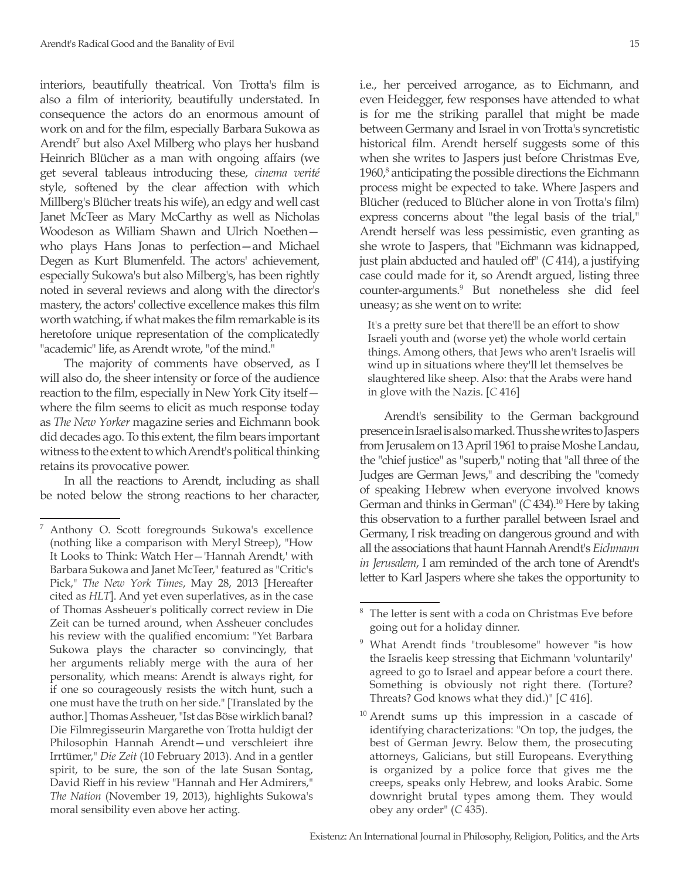interiors, beautifully theatrical. Von Trotta's film is also a film of interiority, beautifully understated. In consequence the actors do an enormous amount of work on and for the film, especially Barbara Sukowa as Arendt<sup>7</sup> but also Axel Milberg who plays her husband Heinrich Blücher as a man with ongoing affairs (we get several tableaus introducing these, *cinema verité* style, softened by the clear affection with which Millberg's Blücher treats his wife), an edgy and well cast Janet McTeer as Mary McCarthy as well as Nicholas Woodeson as William Shawn and Ulrich Noethen who plays Hans Jonas to perfection—and Michael Degen as Kurt Blumenfeld. The actors' achievement, especially Sukowa's but also Milberg's, has been rightly noted in several reviews and along with the director's mastery, the actors' collective excellence makes this film worth watching, if what makes the film remarkable is its heretofore unique representation of the complicatedly "academic" life, as Arendt wrote, "of the mind."

The majority of comments have observed, as I will also do, the sheer intensity or force of the audience reaction to the film, especially in New York City itself where the film seems to elicit as much response today as *The New Yorker* magazine series and Eichmann book did decades ago. To this extent, the film bears important witness to the extent to which Arendt's political thinking retains its provocative power.

In all the reactions to Arendt, including as shall be noted below the strong reactions to her character,

i.e., her perceived arrogance, as to Eichmann, and even Heidegger, few responses have attended to what is for me the striking parallel that might be made between Germany and Israel in von Trotta's syncretistic historical film. Arendt herself suggests some of this when she writes to Jaspers just before Christmas Eve, 1960,<sup>8</sup> anticipating the possible directions the Eichmann process might be expected to take. Where Jaspers and Blücher (reduced to Blücher alone in von Trotta's film) express concerns about "the legal basis of the trial," Arendt herself was less pessimistic, even granting as she wrote to Jaspers, that "Eichmann was kidnapped, just plain abducted and hauled off" (*C* 414), a justifying case could made for it, so Arendt argued, listing three counter-arguments.9 But nonetheless she did feel uneasy; as she went on to write:

It's a pretty sure bet that there'll be an effort to show Israeli youth and (worse yet) the whole world certain things. Among others, that Jews who aren't Israelis will wind up in situations where they'll let themselves be slaughtered like sheep. Also: that the Arabs were hand in glove with the Nazis. [*C* 416]

Arendt's sensibility to the German background presence in Israel is also marked. Thus she writes to Jaspers from Jerusalem on 13 April 1961 to praise Moshe Landau, the "chief justice" as "superb," noting that "all three of the Judges are German Jews," and describing the "comedy of speaking Hebrew when everyone involved knows German and thinks in German" (C 434).<sup>10</sup> Here by taking this observation to a further parallel between Israel and Germany, I risk treading on dangerous ground and with all the associations that haunt Hannah Arendt's *Eichmann in Jerusalem*, I am reminded of the arch tone of Arendt's letter to Karl Jaspers where she takes the opportunity to

<sup>7</sup> Anthony O. Scott foregrounds Sukowa's excellence (nothing like a comparison with Meryl Streep), "How It Looks to Think: Watch Her—'Hannah Arendt,' with Barbara Sukowa and Janet McTeer," featured as "Critic's Pick," *The New York Times*, May 28, 2013 [Hereafter cited as *HLT*]. And yet even superlatives, as in the case of Thomas Assheuer's politically correct review in Die Zeit can be turned around, when Assheuer concludes his review with the qualified encomium: "Yet Barbara Sukowa plays the character so convincingly, that her arguments reliably merge with the aura of her personality, which means: Arendt is always right, for if one so courageously resists the witch hunt, such a one must have the truth on her side." [Translated by the author.] Thomas Assheuer, "Ist das Böse wirklich banal? Die Filmregisseurin Margarethe von Trotta huldigt der Philosophin Hannah Arendt—und verschleiert ihre Irrtümer," *Die Zeit* (10 February 2013). And in a gentler spirit, to be sure, the son of the late Susan Sontag, David Rieff in his review "Hannah and Her Admirers," *The Nation* (November 19, 2013), highlights Sukowa's moral sensibility even above her acting.

 $8$  The letter is sent with a coda on Christmas Eve before going out for a holiday dinner.

<sup>9</sup> What Arendt finds "troublesome" however "is how the Israelis keep stressing that Eichmann 'voluntarily' agreed to go to Israel and appear before a court there. Something is obviously not right there. (Torture? Threats? God knows what they did.)" [*C* 416].

<sup>&</sup>lt;sup>10</sup> Arendt sums up this impression in a cascade of identifying characterizations: "On top, the judges, the best of German Jewry. Below them, the prosecuting attorneys, Galicians, but still Europeans. Everything is organized by a police force that gives me the creeps, speaks only Hebrew, and looks Arabic. Some downright brutal types among them. They would obey any order" (*C* 435).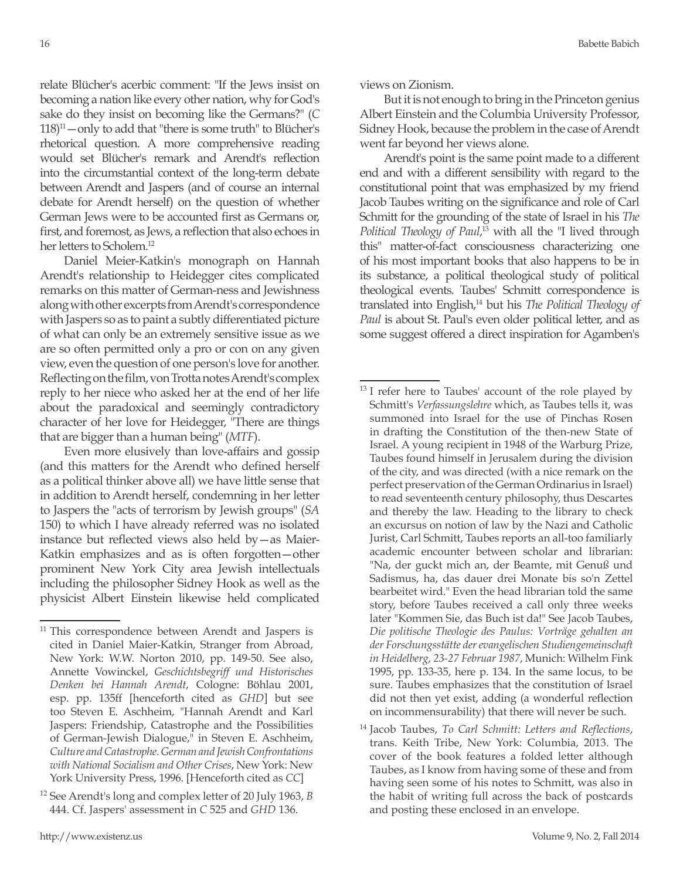relate Blücher's acerbic comment: "If the Jews insist on becoming a nation like every other nation, why for God's sake do they insist on becoming like the Germans?" (*C*  $118$ <sup>11</sup> — only to add that "there is some truth" to Blücher's rhetorical question. A more comprehensive reading would set Blücher's remark and Arendt's reflection into the circumstantial context of the long-term debate between Arendt and Jaspers (and of course an internal debate for Arendt herself) on the question of whether German Jews were to be accounted first as Germans or, first, and foremost, as Jews, a reflection that also echoes in her letters to Scholem.<sup>12</sup>

Daniel Meier-Katkin's monograph on Hannah Arendt's relationship to Heidegger cites complicated remarks on this matter of German-ness and Jewishness along with other excerpts from Arendt's correspondence with Jaspers so as to paint a subtly differentiated picture of what can only be an extremely sensitive issue as we are so often permitted only a pro or con on any given view, even the question of one person's love for another. Reflecting on the film, von Trotta notes Arendt's complex reply to her niece who asked her at the end of her life about the paradoxical and seemingly contradictory character of her love for Heidegger, "There are things that are bigger than a human being" (*MTF*).

Even more elusively than love-affairs and gossip (and this matters for the Arendt who defined herself as a political thinker above all) we have little sense that in addition to Arendt herself, condemning in her letter to Jaspers the "acts of terrorism by Jewish groups" (*SA* 150) to which I have already referred was no isolated instance but reflected views also held by—as Maier-Katkin emphasizes and as is often forgotten—other prominent New York City area Jewish intellectuals including the philosopher Sidney Hook as well as the physicist Albert Einstein likewise held complicated

#### views on Zionism.

But it is not enough to bring in the Princeton genius Albert Einstein and the Columbia University Professor, Sidney Hook, because the problem in the case of Arendt went far beyond her views alone.

Arendt's point is the same point made to a different end and with a different sensibility with regard to the constitutional point that was emphasized by my friend Jacob Taubes writing on the significance and role of Carl Schmitt for the grounding of the state of Israel in his *The Political Theology of Paul*, 13 with all the "I lived through this" matter-of-fact consciousness characterizing one of his most important books that also happens to be in its substance, a political theological study of political theological events. Taubes' Schmitt correspondence is translated into English,14 but his *The Political Theology of Paul* is about St. Paul's even older political letter, and as some suggest offered a direct inspiration for Agamben's

 $11$  This correspondence between Arendt and Jaspers is cited in Daniel Maier-Katkin, Stranger from Abroad, New York: W.W. Norton 2010, pp. 149-50. See also, Annette Vowinckel, *Geschichtsbegriff und Historisches Denken bei Hannah Arendt*, Cologne: Böhlau 2001, esp. pp. 135ff [henceforth cited as *GHD*] but see too Steven E. Aschheim, "Hannah Arendt and Karl Jaspers: Friendship, Catastrophe and the Possibilities of German-Jewish Dialogue," in Steven E. Aschheim, *Culture and Catastrophe. German and Jewish Confrontations with National Socialism and Other Crises*, New York: New York University Press, 1996. [Henceforth cited as *CC*]

<sup>12</sup> See Arendt's long and complex letter of 20 July 1963, *B* 444. Cf. Jaspers' assessment in *C* 525 and *GHD* 136.

<sup>&</sup>lt;sup>13</sup> I refer here to Taubes' account of the role played by Schmitt's *Verfassungslehre* which, as Taubes tells it, was summoned into Israel for the use of Pinchas Rosen in drafting the Constitution of the then-new State of Israel. A young recipient in 1948 of the Warburg Prize, Taubes found himself in Jerusalem during the division of the city, and was directed (with a nice remark on the perfect preservation of the German Ordinarius in Israel) to read seventeenth century philosophy, thus Descartes and thereby the law. Heading to the library to check an excursus on notion of law by the Nazi and Catholic Jurist, Carl Schmitt, Taubes reports an all-too familiarly academic encounter between scholar and librarian: "Na, der guckt mich an, der Beamte, mit Genuß und Sadismus, ha, das dauer drei Monate bis so'n Zettel bearbeitet wird." Even the head librarian told the same story, before Taubes received a call only three weeks later "Kommen Sie, das Buch ist da!" See Jacob Taubes, *Die politische Theologie des Paulus: Vorträge gehalten an der Forschungsstätte der evangelischen Studiengemeinschaft in Heidelberg, 23-27 Februar 1987*, Munich: Wilhelm Fink 1995, pp. 133-35, here p. 134. In the same locus, to be sure. Taubes emphasizes that the constitution of Israel did not then yet exist, adding (a wonderful reflection on incommensurability) that there will never be such.

<sup>14</sup> Jacob Taubes, *To Carl Schmitt: Letters and Reflections*, trans. Keith Tribe, New York: Columbia, 2013. The cover of the book features a folded letter although Taubes, as I know from having some of these and from having seen some of his notes to Schmitt, was also in the habit of writing full across the back of postcards and posting these enclosed in an envelope.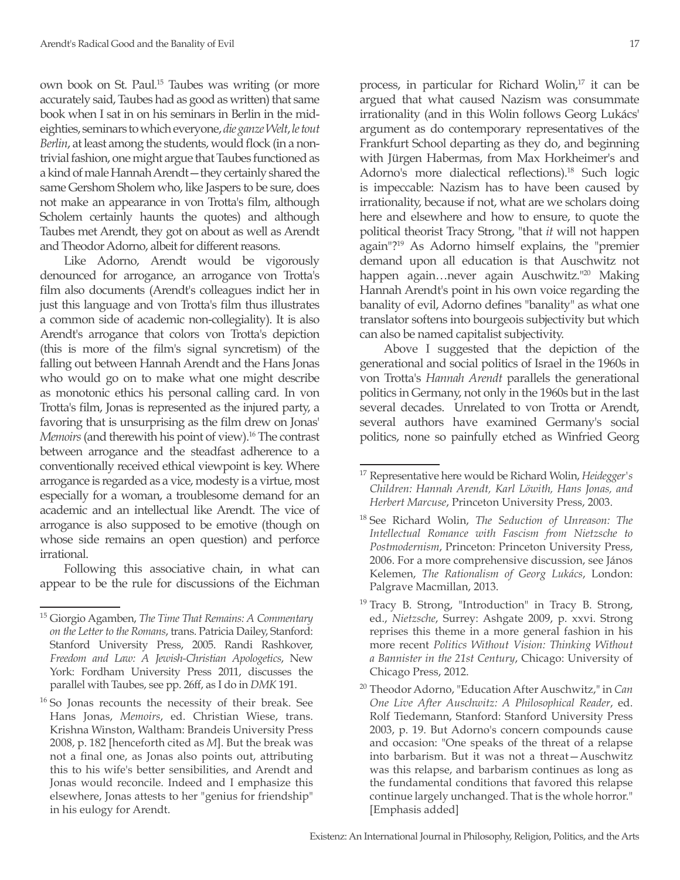own book on St. Paul.15 Taubes was writing (or more accurately said, Taubes had as good as written) that same book when I sat in on his seminars in Berlin in the mideighties, seminars to which everyone, *die ganze Welt*, *le tout Berlin*, at least among the students, would flock (in a nontrivial fashion, one might argue that Taubes functioned as a kind of male Hannah Arendt—they certainly shared the same Gershom Sholem who, like Jaspers to be sure, does not make an appearance in von Trotta's film, although Scholem certainly haunts the quotes) and although Taubes met Arendt, they got on about as well as Arendt and Theodor Adorno, albeit for different reasons.

Like Adorno, Arendt would be vigorously denounced for arrogance, an arrogance von Trotta's film also documents (Arendt's colleagues indict her in just this language and von Trotta's film thus illustrates a common side of academic non-collegiality). It is also Arendt's arrogance that colors von Trotta's depiction (this is more of the film's signal syncretism) of the falling out between Hannah Arendt and the Hans Jonas who would go on to make what one might describe as monotonic ethics his personal calling card. In von Trotta's film, Jonas is represented as the injured party, a favoring that is unsurprising as the film drew on Jonas' *Memoirs* (and therewith his point of view).16 The contrast between arrogance and the steadfast adherence to a conventionally received ethical viewpoint is key. Where arrogance is regarded as a vice, modesty is a virtue, most especially for a woman, a troublesome demand for an academic and an intellectual like Arendt. The vice of arrogance is also supposed to be emotive (though on whose side remains an open question) and perforce irrational.

Following this associative chain, in what can appear to be the rule for discussions of the Eichman process, in particular for Richard Wolin,<sup>17</sup> it can be argued that what caused Nazism was consummate irrationality (and in this Wolin follows Georg Lukács' argument as do contemporary representatives of the Frankfurt School departing as they do, and beginning with Jürgen Habermas, from Max Horkheimer's and Adorno's more dialectical reflections).<sup>18</sup> Such logic is impeccable: Nazism has to have been caused by irrationality, because if not, what are we scholars doing here and elsewhere and how to ensure, to quote the political theorist Tracy Strong, "that *it* will not happen again"?19 As Adorno himself explains, the "premier demand upon all education is that Auschwitz not happen again…never again Auschwitz."<sup>20</sup> Making Hannah Arendt's point in his own voice regarding the banality of evil, Adorno defines "banality" as what one translator softens into bourgeois subjectivity but which can also be named capitalist subjectivity.

Above I suggested that the depiction of the generational and social politics of Israel in the 1960s in von Trotta's *Hannah Arendt* parallels the generational politics in Germany, not only in the 1960s but in the last several decades. Unrelated to von Trotta or Arendt, several authors have examined Germany's social politics, none so painfully etched as Winfried Georg

<sup>15</sup> Giorgio Agamben, *The Time That Remains: A Commentary on the Letter to the Romans*, trans. Patricia Dailey, Stanford: Stanford University Press, 2005. Randi Rashkover, *Freedom and Law: A Jewish-Christian Apologetics*, New York: Fordham University Press 2011, discusses the parallel with Taubes, see pp. 26ff, as I do in *DMK* 191.

<sup>&</sup>lt;sup>16</sup> So Jonas recounts the necessity of their break. See Hans Jonas, *Memoirs*, ed. Christian Wiese, trans. Krishna Winston, Waltham: Brandeis University Press 2008, p. 182 [henceforth cited as *M*]. But the break was not a final one, as Jonas also points out, attributing this to his wife's better sensibilities, and Arendt and Jonas would reconcile. Indeed and I emphasize this elsewhere, Jonas attests to her "genius for friendship" in his eulogy for Arendt.

<sup>17</sup> Representative here would be Richard Wolin, *Heidegger's Children: Hannah Arendt, Karl Löwith, Hans Jonas, and Herbert Marcuse*, Princeton University Press, 2003.

<sup>18</sup> See Richard Wolin, *The Seduction of Unreason: The Intellectual Romance with Fascism from Nietzsche to Postmodernism*, Princeton: Princeton University Press, 2006. For a more comprehensive discussion, see János Kelemen, *The Rationalism of Georg Lukács*, London: Palgrave Macmillan, 2013.

<sup>&</sup>lt;sup>19</sup> Tracy B. Strong, "Introduction" in Tracy B. Strong, ed., *Nietzsche*, Surrey: Ashgate 2009, p. xxvi. Strong reprises this theme in a more general fashion in his more recent *Politics Without Vision: Thinking Without a Bannister in the 21st Century*, Chicago: University of Chicago Press, 2012.

<sup>20</sup> Theodor Adorno, "Education After Auschwitz," in *Can One Live After Auschwitz: A Philosophical Reader*, ed. Rolf Tiedemann, Stanford: Stanford University Press 2003, p. 19. But Adorno's concern compounds cause and occasion: "One speaks of the threat of a relapse into barbarism. But it was not a threat—Auschwitz was this relapse, and barbarism continues as long as the fundamental conditions that favored this relapse continue largely unchanged. That is the whole horror." [Emphasis added]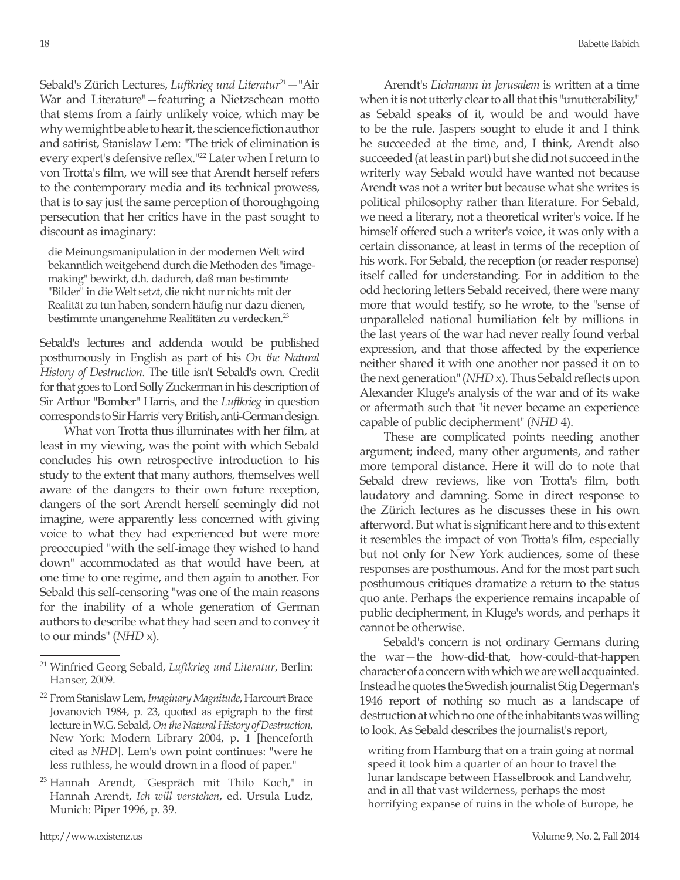Sebald's Zürich Lectures, *Luftkrieg und Literatur<sup>21</sup>* - "Air War and Literature"—featuring a Nietzschean motto that stems from a fairly unlikely voice, which may be why we might be able to hear it, the science fiction author and satirist, Stanislaw Lem: "The trick of elimination is every expert's defensive reflex."<sup>22</sup> Later when I return to von Trotta's film, we will see that Arendt herself refers to the contemporary media and its technical prowess, that is to say just the same perception of thoroughgoing persecution that her critics have in the past sought to discount as imaginary:

die Meinungsmanipulation in der modernen Welt wird bekanntlich weitgehend durch die Methoden des "imagemaking" bewirkt, d.h. dadurch, daß man bestimmte "Bilder" in die Welt setzt, die nicht nur nichts mit der Realität zu tun haben, sondern häufig nur dazu dienen, bestimmte unangenehme Realitäten zu verdecken.23

Sebald's lectures and addenda would be published posthumously in English as part of his *On the Natural History of Destruction*. The title isn't Sebald's own. Credit for that goes to Lord Solly Zuckerman in his description of Sir Arthur "Bomber" Harris, and the *Luftkrieg* in question corresponds to Sir Harris' very British, anti-German design.

What von Trotta thus illuminates with her film, at least in my viewing, was the point with which Sebald concludes his own retrospective introduction to his study to the extent that many authors, themselves well aware of the dangers to their own future reception, dangers of the sort Arendt herself seemingly did not imagine, were apparently less concerned with giving voice to what they had experienced but were more preoccupied "with the self-image they wished to hand down" accommodated as that would have been, at one time to one regime, and then again to another. For Sebald this self-censoring "was one of the main reasons for the inability of a whole generation of German authors to describe what they had seen and to convey it to our minds" (*NHD* x).

Arendt's *Eichmann in Jerusalem* is written at a time when it is not utterly clear to all that this "unutterability," as Sebald speaks of it, would be and would have to be the rule. Jaspers sought to elude it and I think he succeeded at the time, and, I think, Arendt also succeeded (at least in part) but she did not succeed in the writerly way Sebald would have wanted not because Arendt was not a writer but because what she writes is political philosophy rather than literature. For Sebald, we need a literary, not a theoretical writer's voice. If he himself offered such a writer's voice, it was only with a certain dissonance, at least in terms of the reception of his work. For Sebald, the reception (or reader response) itself called for understanding. For in addition to the odd hectoring letters Sebald received, there were many more that would testify, so he wrote, to the "sense of unparalleled national humiliation felt by millions in the last years of the war had never really found verbal expression, and that those affected by the experience neither shared it with one another nor passed it on to the next generation" (*NHD* x). Thus Sebald reflects upon Alexander Kluge's analysis of the war and of its wake or aftermath such that "it never became an experience capable of public decipherment" (*NHD* 4).

These are complicated points needing another argument; indeed, many other arguments, and rather more temporal distance. Here it will do to note that Sebald drew reviews, like von Trotta's film, both laudatory and damning. Some in direct response to the Zürich lectures as he discusses these in his own afterword. But what is significant here and to this extent it resembles the impact of von Trotta's film, especially but not only for New York audiences, some of these responses are posthumous. And for the most part such posthumous critiques dramatize a return to the status quo ante. Perhaps the experience remains incapable of public decipherment, in Kluge's words, and perhaps it cannot be otherwise.

Sebald's concern is not ordinary Germans during the war—the how-did-that, how-could-that-happen character of a concern with which we are well acquainted. Instead he quotes the Swedish journalist Stig Degerman's 1946 report of nothing so much as a landscape of destruction at which no one of the inhabitants was willing to look. As Sebald describes the journalist's report,

writing from Hamburg that on a train going at normal speed it took him a quarter of an hour to travel the lunar landscape between Hasselbrook and Landwehr, and in all that vast wilderness, perhaps the most horrifying expanse of ruins in the whole of Europe, he

<sup>21</sup> Winfried Georg Sebald, *Luftkrieg und Literatur*, Berlin: Hanser, 2009.

<sup>22</sup> From Stanislaw Lem, *Imaginary Magnitude*, Harcourt Brace Jovanovich 1984, p. 23, quoted as epigraph to the first lecture in W.G. Sebald, *On the Natural History of Destruction*, New York: Modern Library 2004, p. 1 [henceforth cited as *NHD*]. Lem's own point continues: "were he less ruthless, he would drown in a flood of paper."

<sup>23</sup> Hannah Arendt, "Gespräch mit Thilo Koch," in Hannah Arendt, *Ich will verstehen*, ed. Ursula Ludz, Munich: Piper 1996, p. 39.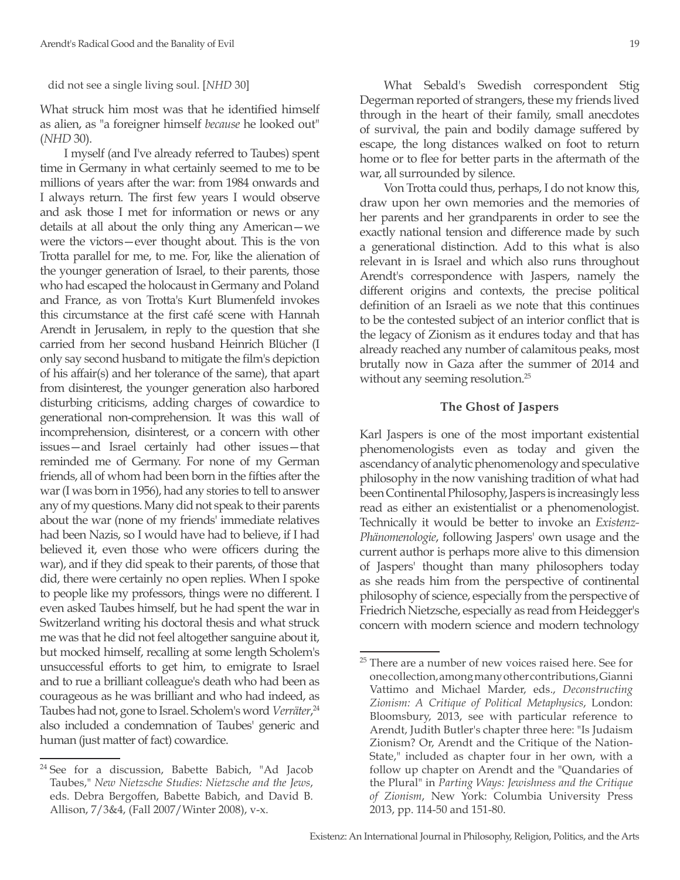did not see a single living soul. [*NHD* 30]

What struck him most was that he identified himself as alien, as "a foreigner himself *because* he looked out" (*NHD* 30).

I myself (and I've already referred to Taubes) spent time in Germany in what certainly seemed to me to be millions of years after the war: from 1984 onwards and I always return. The first few years I would observe and ask those I met for information or news or any details at all about the only thing any American—we were the victors—ever thought about. This is the von Trotta parallel for me, to me. For, like the alienation of the younger generation of Israel, to their parents, those who had escaped the holocaust in Germany and Poland and France, as von Trotta's Kurt Blumenfeld invokes this circumstance at the first café scene with Hannah Arendt in Jerusalem, in reply to the question that she carried from her second husband Heinrich Blücher (I only say second husband to mitigate the film's depiction of his affair(s) and her tolerance of the same), that apart from disinterest, the younger generation also harbored disturbing criticisms, adding charges of cowardice to generational non-comprehension. It was this wall of incomprehension, disinterest, or a concern with other issues—and Israel certainly had other issues—that reminded me of Germany. For none of my German friends, all of whom had been born in the fifties after the war (I was born in 1956), had any stories to tell to answer any of my questions. Many did not speak to their parents about the war (none of my friends' immediate relatives had been Nazis, so I would have had to believe, if I had believed it, even those who were officers during the war), and if they did speak to their parents, of those that did, there were certainly no open replies. When I spoke to people like my professors, things were no different. I even asked Taubes himself, but he had spent the war in Switzerland writing his doctoral thesis and what struck me was that he did not feel altogether sanguine about it, but mocked himself, recalling at some length Scholem's unsuccessful efforts to get him, to emigrate to Israel and to rue a brilliant colleague's death who had been as courageous as he was brilliant and who had indeed, as Taubes had not, gone to Israel. Scholem's word *Verräter*,<sup>24</sup> also included a condemnation of Taubes' generic and human (just matter of fact) cowardice.

What Sebald's Swedish correspondent Stig Degerman reported of strangers, these my friends lived through in the heart of their family, small anecdotes of survival, the pain and bodily damage suffered by escape, the long distances walked on foot to return home or to flee for better parts in the aftermath of the war, all surrounded by silence.

Von Trotta could thus, perhaps, I do not know this, draw upon her own memories and the memories of her parents and her grandparents in order to see the exactly national tension and difference made by such a generational distinction. Add to this what is also relevant in is Israel and which also runs throughout Arendt's correspondence with Jaspers, namely the different origins and contexts, the precise political definition of an Israeli as we note that this continues to be the contested subject of an interior conflict that is the legacy of Zionism as it endures today and that has already reached any number of calamitous peaks, most brutally now in Gaza after the summer of 2014 and without any seeming resolution.<sup>25</sup>

## **The Ghost of Jaspers**

Karl Jaspers is one of the most important existential phenomenologists even as today and given the ascendancy of analytic phenomenology and speculative philosophy in the now vanishing tradition of what had been Continental Philosophy, Jaspers is increasingly less read as either an existentialist or a phenomenologist. Technically it would be better to invoke an *Existenz-Phänomenologie*, following Jaspers' own usage and the current author is perhaps more alive to this dimension of Jaspers' thought than many philosophers today as she reads him from the perspective of continental philosophy of science, especially from the perspective of Friedrich Nietzsche, especially as read from Heidegger's concern with modern science and modern technology

<sup>&</sup>lt;sup>24</sup> See for a discussion, Babette Babich, "Ad Jacob Taubes," *New Nietzsche Studies: Nietzsche and the Jews*, eds. Debra Bergoffen, Babette Babich, and David B. Allison, 7/3&4, (Fall 2007/Winter 2008), v-x.

<sup>&</sup>lt;sup>25</sup> There are a number of new voices raised here. See for one collection, among many other contributions, Gianni Vattimo and Michael Marder, eds., *Deconstructing Zionism: A Critique of Political Metaphysics*, London: Bloomsbury, 2013, see with particular reference to Arendt, Judith Butler's chapter three here: "Is Judaism Zionism? Or, Arendt and the Critique of the Nation-State," included as chapter four in her own, with a follow up chapter on Arendt and the "Quandaries of the Plural" in *Parting Ways: Jewishness and the Critique of Zionism*, New York: Columbia University Press 2013, pp. 114-50 and 151-80.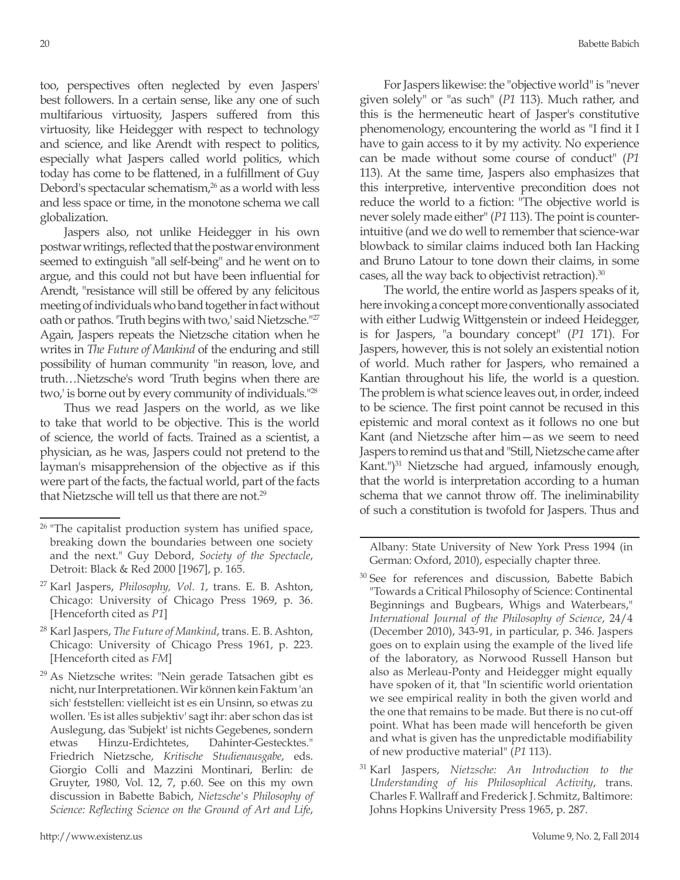too, perspectives often neglected by even Jaspers' best followers. In a certain sense, like any one of such multifarious virtuosity, Jaspers suffered from this virtuosity, like Heidegger with respect to technology and science, and like Arendt with respect to politics, especially what Jaspers called world politics, which today has come to be flattened, in a fulfillment of Guy Debord's spectacular schematism, $26$  as a world with less and less space or time, in the monotone schema we call globalization.

Jaspers also, not unlike Heidegger in his own postwar writings, reflected that the postwar environment seemed to extinguish "all self-being" and he went on to argue, and this could not but have been influential for Arendt, "resistance will still be offered by any felicitous meeting of individuals who band together in fact without oath or pathos. 'Truth begins with two,' said Nietzsche."27 Again, Jaspers repeats the Nietzsche citation when he writes in *The Future of Mankind* of the enduring and still possibility of human community "in reason, love, and truth…Nietzsche's word 'Truth begins when there are two,' is borne out by every community of individuals."<sup>28</sup>

Thus we read Jaspers on the world, as we like to take that world to be objective. This is the world of science, the world of facts. Trained as a scientist, a physician, as he was, Jaspers could not pretend to the layman's misapprehension of the objective as if this were part of the facts, the factual world, part of the facts that Nietzsche will tell us that there are not.<sup>29</sup>

For Jaspers likewise: the "objective world" is "never given solely" or "as such" (*P1* 113). Much rather, and this is the hermeneutic heart of Jasper's constitutive phenomenology, encountering the world as "I find it I have to gain access to it by my activity. No experience can be made without some course of conduct" (*P1* 113). At the same time, Jaspers also emphasizes that this interpretive, interventive precondition does not reduce the world to a fiction: "The objective world is never solely made either" (*P1* 113). The point is counterintuitive (and we do well to remember that science-war blowback to similar claims induced both Ian Hacking and Bruno Latour to tone down their claims, in some cases, all the way back to objectivist retraction).<sup>30</sup>

The world, the entire world as Jaspers speaks of it, here invoking a concept more conventionally associated with either Ludwig Wittgenstein or indeed Heidegger, is for Jaspers, "a boundary concept" (*P1* 171). For Jaspers, however, this is not solely an existential notion of world. Much rather for Jaspers, who remained a Kantian throughout his life, the world is a question. The problem is what science leaves out, in order, indeed to be science. The first point cannot be recused in this epistemic and moral context as it follows no one but Kant (and Nietzsche after him—as we seem to need Jaspers to remind us that and "Still, Nietzsche came after Kant.")31 Nietzsche had argued, infamously enough, that the world is interpretation according to a human schema that we cannot throw off. The ineliminability of such a constitution is twofold for Jaspers. Thus and

Albany: State University of New York Press 1994 (in German: Oxford, 2010), especially chapter three.

- <sup>30</sup> See for references and discussion, Babette Babich "Towards a Critical Philosophy of Science: Continental Beginnings and Bugbears, Whigs and Waterbears," *International Journal of the Philosophy of Science*, 24/4 (December 2010), 343-91, in particular, p. 346. Jaspers goes on to explain using the example of the lived life of the laboratory, as Norwood Russell Hanson but also as Merleau-Ponty and Heidegger might equally have spoken of it, that "In scientific world orientation we see empirical reality in both the given world and the one that remains to be made. But there is no cut-off point. What has been made will henceforth be given and what is given has the unpredictable modifiability of new productive material" (*P1* 113).
- <sup>31</sup> Karl Jaspers, *Nietzsche: An Introduction to the Understanding of his Philosophical Activity*, trans. Charles F. Wallraff and Frederick J. Schmitz, Baltimore: Johns Hopkins University Press 1965, p. 287.

<sup>&</sup>lt;sup>26</sup> "The capitalist production system has unified space, breaking down the boundaries between one society and the next." Guy Debord, *Society of the Spectacle*, Detroit: Black & Red 2000 [1967], p. 165.

<sup>27</sup> Karl Jaspers, *Philosophy, Vol. 1*, trans. E. B. Ashton, Chicago: University of Chicago Press 1969, p. 36. [Henceforth cited as *P1*]

<sup>28</sup> Karl Jaspers, *The Future of Mankind*, trans. E. B. Ashton, Chicago: University of Chicago Press 1961, p. 223. [Henceforth cited as *FM*]

<sup>29</sup> As Nietzsche writes: "Nein gerade Tatsachen gibt es nicht, nur Interpretationen. Wir können kein Faktum 'an sich' feststellen: vielleicht ist es ein Unsinn, so etwas zu wollen. 'Es ist alles subjektiv' sagt ihr: aber schon das ist Auslegung, das 'Subjekt' ist nichts Gegebenes, sondern etwas Hinzu-Erdichtetes, Dahinter-Gestecktes." Friedrich Nietzsche, *Kritische Studienausgabe*, eds. Giorgio Colli and Mazzini Montinari, Berlin: de Gruyter, 1980, Vol. 12, 7, p.60. See on this my own discussion in Babette Babich, *Nietzsche's Philosophy of Science: Reflecting Science on the Ground of Art and Life*,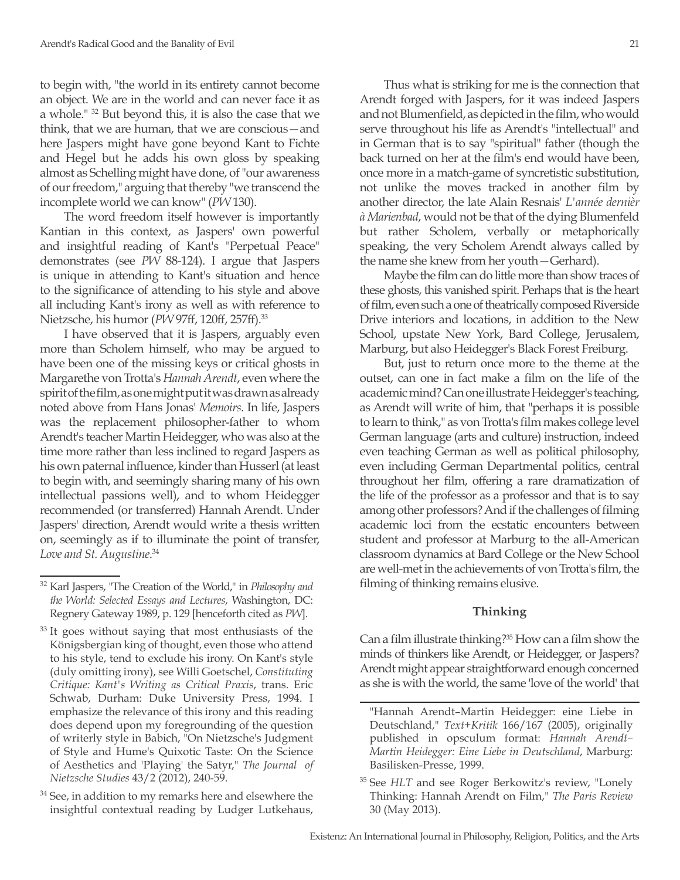to begin with, "the world in its entirety cannot become an object. We are in the world and can never face it as a whole." 32 But beyond this, it is also the case that we think, that we are human, that we are conscious—and here Jaspers might have gone beyond Kant to Fichte and Hegel but he adds his own gloss by speaking almost as Schelling might have done, of "our awareness of our freedom," arguing that thereby "we transcend the incomplete world we can know" (*PW* 130).

The word freedom itself however is importantly Kantian in this context, as Jaspers' own powerful and insightful reading of Kant's "Perpetual Peace" demonstrates (see *PW* 88-124). I argue that Jaspers is unique in attending to Kant's situation and hence to the significance of attending to his style and above all including Kant's irony as well as with reference to Nietzsche, his humor (*PW* 97ff, 120ff, 257ff).33

I have observed that it is Jaspers, arguably even more than Scholem himself, who may be argued to have been one of the missing keys or critical ghosts in Margarethe von Trotta's *Hannah Arendt*, even where the spirit of the film, as one might put it was drawn as already noted above from Hans Jonas' *Memoirs*. In life, Jaspers was the replacement philosopher-father to whom Arendt's teacher Martin Heidegger, who was also at the time more rather than less inclined to regard Jaspers as his own paternal influence, kinder than Husserl (at least to begin with, and seemingly sharing many of his own intellectual passions well), and to whom Heidegger recommended (or transferred) Hannah Arendt. Under Jaspers' direction, Arendt would write a thesis written on, seemingly as if to illuminate the point of transfer, *Love and St. Augustine*. 34

Thus what is striking for me is the connection that Arendt forged with Jaspers, for it was indeed Jaspers and not Blumenfield, as depicted in the film, who would serve throughout his life as Arendt's "intellectual" and in German that is to say "spiritual" father (though the back turned on her at the film's end would have been, once more in a match-game of syncretistic substitution, not unlike the moves tracked in another film by another director, the late Alain Resnais' *L'année dernièr à Marienbad*, would not be that of the dying Blumenfeld but rather Scholem, verbally or metaphorically speaking, the very Scholem Arendt always called by the name she knew from her youth—Gerhard).

Maybe the film can do little more than show traces of these ghosts, this vanished spirit. Perhaps that is the heart of film, even such a one of theatrically composed Riverside Drive interiors and locations, in addition to the New School, upstate New York, Bard College, Jerusalem, Marburg, but also Heidegger's Black Forest Freiburg.

But, just to return once more to the theme at the outset, can one in fact make a film on the life of the academic mind? Can one illustrate Heidegger's teaching, as Arendt will write of him, that "perhaps it is possible to learn to think," as von Trotta's film makes college level German language (arts and culture) instruction, indeed even teaching German as well as political philosophy, even including German Departmental politics, central throughout her film, offering a rare dramatization of the life of the professor as a professor and that is to say among other professors? And if the challenges of filming academic loci from the ecstatic encounters between student and professor at Marburg to the all-American classroom dynamics at Bard College or the New School are well-met in the achievements of von Trotta's film, the filming of thinking remains elusive.

## **Thinking**

Can a film illustrate thinking?<sup>35</sup> How can a film show the minds of thinkers like Arendt, or Heidegger, or Jaspers? Arendt might appear straightforward enough concerned as she is with the world, the same 'love of the world' that

<sup>32</sup> Karl Jaspers, "The Creation of the World," in *Philosophy and the World: Selected Essays and Lectures*, Washington, DC: Regnery Gateway 1989, p. 129 [henceforth cited as *PW*].

<sup>&</sup>lt;sup>33</sup> It goes without saying that most enthusiasts of the Königsbergian king of thought, even those who attend to his style, tend to exclude his irony. On Kant's style (duly omitting irony), see Willi Goetschel, *Constituting Critique: Kant's Writing as Critical Praxis*, trans. Eric Schwab, Durham: Duke University Press, 1994. I emphasize the relevance of this irony and this reading does depend upon my foregrounding of the question of writerly style in Babich, "On Nietzsche's Judgment of Style and Hume's Quixotic Taste: On the Science of Aesthetics and 'Playing' the Satyr," *The Journal of Nietzsche Studies* 43/2 (2012), 240-59.

 $34$  See, in addition to my remarks here and elsewhere the insightful contextual reading by Ludger Lutkehaus,

<sup>&</sup>quot;Hannah Arendt–Martin Heidegger: eine Liebe in Deutschland," *Text+Kritik* 166/167 (2005), originally published in opsculum format: *Hannah Arendt– Martin Heidegger: Eine Liebe in Deutschland*, Marburg: Basilisken-Presse, 1999.

<sup>35</sup> See *HLT* and see Roger Berkowitz's review, "Lonely Thinking: Hannah Arendt on Film," *The Paris Review* 30 (May 2013).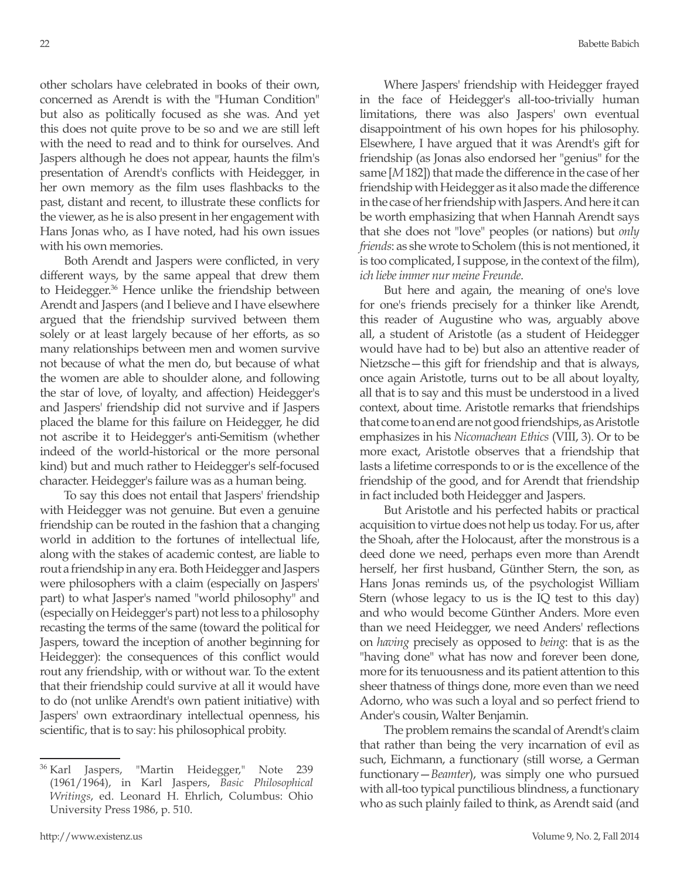other scholars have celebrated in books of their own, concerned as Arendt is with the "Human Condition" but also as politically focused as she was. And yet this does not quite prove to be so and we are still left with the need to read and to think for ourselves. And Jaspers although he does not appear, haunts the film's presentation of Arendt's conflicts with Heidegger, in her own memory as the film uses flashbacks to the past, distant and recent, to illustrate these conflicts for the viewer, as he is also present in her engagement with Hans Jonas who, as I have noted, had his own issues with his own memories.

Both Arendt and Jaspers were conflicted, in very different ways, by the same appeal that drew them to Heidegger.<sup>36</sup> Hence unlike the friendship between Arendt and Jaspers (and I believe and I have elsewhere argued that the friendship survived between them solely or at least largely because of her efforts, as so many relationships between men and women survive not because of what the men do, but because of what the women are able to shoulder alone, and following the star of love, of loyalty, and affection) Heidegger's and Jaspers' friendship did not survive and if Jaspers placed the blame for this failure on Heidegger, he did not ascribe it to Heidegger's anti-Semitism (whether indeed of the world-historical or the more personal kind) but and much rather to Heidegger's self-focused character. Heidegger's failure was as a human being.

To say this does not entail that Jaspers' friendship with Heidegger was not genuine. But even a genuine friendship can be routed in the fashion that a changing world in addition to the fortunes of intellectual life, along with the stakes of academic contest, are liable to rout a friendship in any era. Both Heidegger and Jaspers were philosophers with a claim (especially on Jaspers' part) to what Jasper's named "world philosophy" and (especially on Heidegger's part) not less to a philosophy recasting the terms of the same (toward the political for Jaspers, toward the inception of another beginning for Heidegger): the consequences of this conflict would rout any friendship, with or without war. To the extent that their friendship could survive at all it would have to do (not unlike Arendt's own patient initiative) with Jaspers' own extraordinary intellectual openness, his scientific, that is to say: his philosophical probity.

Where Jaspers' friendship with Heidegger frayed in the face of Heidegger's all-too-trivially human limitations, there was also Jaspers' own eventual disappointment of his own hopes for his philosophy. Elsewhere, I have argued that it was Arendt's gift for friendship (as Jonas also endorsed her "genius" for the same [*M* 182]) that made the difference in the case of her friendship with Heidegger as it also made the difference in the case of her friendship with Jaspers. And here it can be worth emphasizing that when Hannah Arendt says that she does not "love" peoples (or nations) but *only friends*: as she wrote to Scholem (this is not mentioned, it is too complicated, I suppose, in the context of the film), *ich liebe immer nur meine Freunde*.

But here and again, the meaning of one's love for one's friends precisely for a thinker like Arendt, this reader of Augustine who was, arguably above all, a student of Aristotle (as a student of Heidegger would have had to be) but also an attentive reader of Nietzsche—this gift for friendship and that is always, once again Aristotle, turns out to be all about loyalty, all that is to say and this must be understood in a lived context, about time. Aristotle remarks that friendships that come to an end are not good friendships, as Aristotle emphasizes in his *Nicomachean Ethics* (VIII, 3). Or to be more exact, Aristotle observes that a friendship that lasts a lifetime corresponds to or is the excellence of the friendship of the good, and for Arendt that friendship in fact included both Heidegger and Jaspers.

But Aristotle and his perfected habits or practical acquisition to virtue does not help us today. For us, after the Shoah, after the Holocaust, after the monstrous is a deed done we need, perhaps even more than Arendt herself, her first husband, Günther Stern, the son, as Hans Jonas reminds us, of the psychologist William Stern (whose legacy to us is the IQ test to this day) and who would become Günther Anders. More even than we need Heidegger, we need Anders' reflections on *having* precisely as opposed to *being*: that is as the "having done" what has now and forever been done, more for its tenuousness and its patient attention to this sheer thatness of things done, more even than we need Adorno, who was such a loyal and so perfect friend to Ander's cousin, Walter Benjamin.

The problem remains the scandal of Arendt's claim that rather than being the very incarnation of evil as such, Eichmann, a functionary (still worse, a German functionary—*Beamter*), was simply one who pursued with all-too typical punctilious blindness, a functionary who as such plainly failed to think, as Arendt said (and

<sup>&</sup>lt;sup>36</sup> Karl Jaspers, "Martin Heidegger," Note 239 (1961/1964), in Karl Jaspers, *Basic Philosophical Writings*, ed. Leonard H. Ehrlich, Columbus: Ohio University Press 1986, p. 510.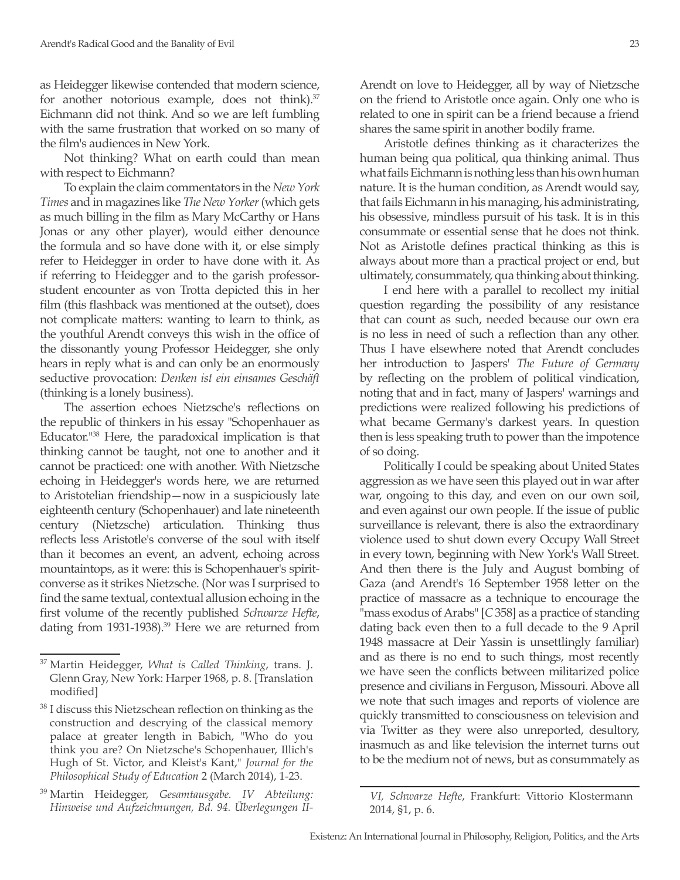as Heidegger likewise contended that modern science, for another notorious example, does not think).<sup>37</sup> Eichmann did not think. And so we are left fumbling with the same frustration that worked on so many of the film's audiences in New York.

Not thinking? What on earth could than mean with respect to Eichmann?

To explain the claim commentators in the *New York Times* and in magazines like *The New Yorker* (which gets as much billing in the film as Mary McCarthy or Hans Jonas or any other player), would either denounce the formula and so have done with it, or else simply refer to Heidegger in order to have done with it. As if referring to Heidegger and to the garish professorstudent encounter as von Trotta depicted this in her film (this flashback was mentioned at the outset), does not complicate matters: wanting to learn to think, as the youthful Arendt conveys this wish in the office of the dissonantly young Professor Heidegger, she only hears in reply what is and can only be an enormously seductive provocation: *Denken ist ein einsames Geschäft* (thinking is a lonely business).

The assertion echoes Nietzsche's reflections on the republic of thinkers in his essay "Schopenhauer as Educator."38 Here, the paradoxical implication is that thinking cannot be taught, not one to another and it cannot be practiced: one with another. With Nietzsche echoing in Heidegger's words here, we are returned to Aristotelian friendship—now in a suspiciously late eighteenth century (Schopenhauer) and late nineteenth century (Nietzsche) articulation. Thinking thus reflects less Aristotle's converse of the soul with itself than it becomes an event, an advent, echoing across mountaintops, as it were: this is Schopenhauer's spiritconverse as it strikes Nietzsche. (Nor was I surprised to find the same textual, contextual allusion echoing in the first volume of the recently published *Schwarze Hefte*, dating from 1931-1938).<sup>39</sup> Here we are returned from Arendt on love to Heidegger, all by way of Nietzsche on the friend to Aristotle once again. Only one who is related to one in spirit can be a friend because a friend shares the same spirit in another bodily frame.

Aristotle defines thinking as it characterizes the human being qua political, qua thinking animal. Thus what fails Eichmann is nothing less than his own human nature. It is the human condition, as Arendt would say, that fails Eichmann in his managing, his administrating, his obsessive, mindless pursuit of his task. It is in this consummate or essential sense that he does not think. Not as Aristotle defines practical thinking as this is always about more than a practical project or end, but ultimately, consummately, qua thinking about thinking.

I end here with a parallel to recollect my initial question regarding the possibility of any resistance that can count as such, needed because our own era is no less in need of such a reflection than any other. Thus I have elsewhere noted that Arendt concludes her introduction to Jaspers' *The Future of Germany*  by reflecting on the problem of political vindication, noting that and in fact, many of Jaspers' warnings and predictions were realized following his predictions of what became Germany's darkest years. In question then is less speaking truth to power than the impotence of so doing.

Politically I could be speaking about United States aggression as we have seen this played out in war after war, ongoing to this day, and even on our own soil, and even against our own people. If the issue of public surveillance is relevant, there is also the extraordinary violence used to shut down every Occupy Wall Street in every town, beginning with New York's Wall Street. And then there is the July and August bombing of Gaza (and Arendt's 16 September 1958 letter on the practice of massacre as a technique to encourage the "mass exodus of Arabs" [*C* 358] as a practice of standing dating back even then to a full decade to the 9 April 1948 massacre at Deir Yassin is unsettlingly familiar) and as there is no end to such things, most recently we have seen the conflicts between militarized police presence and civilians in Ferguson, Missouri. Above all we note that such images and reports of violence are quickly transmitted to consciousness on television and via Twitter as they were also unreported, desultory, inasmuch as and like television the internet turns out to be the medium not of news, but as consummately as

<sup>37</sup> Martin Heidegger, *What is Called Thinking*, trans. J. Glenn Gray, New York: Harper 1968, p. 8. [Translation modified]

<sup>38</sup> I discuss this Nietzschean reflection on thinking as the construction and descrying of the classical memory palace at greater length in Babich, "Who do you think you are? On Nietzsche's Schopenhauer, Illich's Hugh of St. Victor, and Kleist's Kant," *Journal for the Philosophical Study of Education* 2 (March 2014), 1-23.

<sup>39</sup> Martin Heidegger, *Gesamtausgabe. IV Abteilung: Hinweise und Aufzeichnungen, Bd. 94. Überlegungen II-*

*VI, Schwarze Hefte*, Frankfurt: Vittorio Klostermann 2014, §1, p. 6.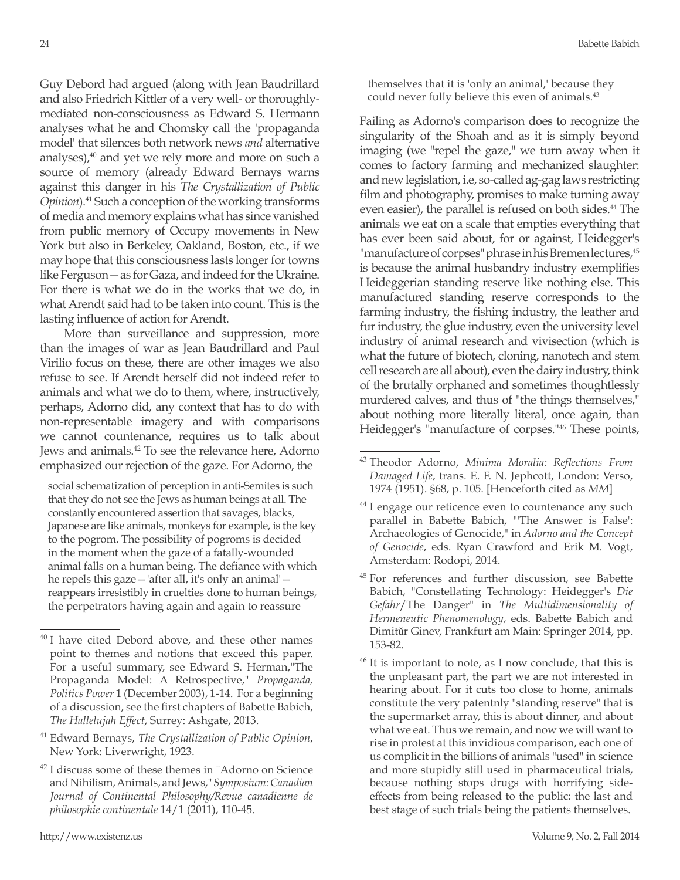Guy Debord had argued (along with Jean Baudrillard and also Friedrich Kittler of a very well- or thoroughlymediated non-consciousness as Edward S. Hermann analyses what he and Chomsky call the 'propaganda model' that silences both network news *and* alternative analyses), $40$  and yet we rely more and more on such a source of memory (already Edward Bernays warns against this danger in his *The Crystallization of Public Opinion*).41 Such a conception of the working transforms of media and memory explains what has since vanished from public memory of Occupy movements in New York but also in Berkeley, Oakland, Boston, etc., if we may hope that this consciousness lasts longer for towns like Ferguson—as for Gaza, and indeed for the Ukraine. For there is what we do in the works that we do, in what Arendt said had to be taken into count. This is the lasting influence of action for Arendt.

More than surveillance and suppression, more than the images of war as Jean Baudrillard and Paul Virilio focus on these, there are other images we also refuse to see. If Arendt herself did not indeed refer to animals and what we do to them, where, instructively, perhaps, Adorno did, any context that has to do with non-representable imagery and with comparisons we cannot countenance, requires us to talk about Jews and animals.<sup>42</sup> To see the relevance here, Adorno emphasized our rejection of the gaze. For Adorno, the

social schematization of perception in anti-Semites is such that they do not see the Jews as human beings at all. The constantly encountered assertion that savages, blacks, Japanese are like animals, monkeys for example, is the key to the pogrom. The possibility of pogroms is decided in the moment when the gaze of a fatally-wounded animal falls on a human being. The defiance with which he repels this gaze—'after all, it's only an animal' reappears irresistibly in cruelties done to human beings, the perpetrators having again and again to reassure

Failing as Adorno's comparison does to recognize the singularity of the Shoah and as it is simply beyond imaging (we "repel the gaze," we turn away when it comes to factory farming and mechanized slaughter: and new legislation, i.e, so-called ag-gag laws restricting film and photography, promises to make turning away even easier), the parallel is refused on both sides.<sup>44</sup> The animals we eat on a scale that empties everything that has ever been said about, for or against, Heidegger's "manufacture of corpses" phrase in his Bremen lectures, 45 is because the animal husbandry industry exemplifies Heideggerian standing reserve like nothing else. This manufactured standing reserve corresponds to the farming industry, the fishing industry, the leather and fur industry, the glue industry, even the university level industry of animal research and vivisection (which is what the future of biotech, cloning, nanotech and stem cell research are all about), even the dairy industry, think of the brutally orphaned and sometimes thoughtlessly murdered calves, and thus of "the things themselves," about nothing more literally literal, once again, than Heidegger's "manufacture of corpses."46 These points,

<sup>&</sup>lt;sup>40</sup> I have cited Debord above, and these other names point to themes and notions that exceed this paper. For a useful summary, see Edward S. Herman,"The Propaganda Model: A Retrospective," *Propaganda, Politics Power* 1 (December 2003), 1-14. For a beginning of a discussion, see the first chapters of Babette Babich, *The Hallelujah Effect*, Surrey: Ashgate, 2013.

<sup>41</sup> Edward Bernays, *The Crystallization of Public Opinion*, New York: Liverwright, 1923.

<sup>42</sup> I discuss some of these themes in "Adorno on Science and Nihilism, Animals, and Jews," *Symposium: Canadian Journal of Continental Philosophy/Revue canadienne de philosophie continentale* 14/1 (2011), 110-45.

<sup>43</sup> Theodor Adorno, *Minima Moralia: Reflections From Damaged Life*, trans. E. F. N. Jephcott, London: Verso, 1974 (1951). §68, p. 105. [Henceforth cited as *MM*]

<sup>&</sup>lt;sup>44</sup> I engage our reticence even to countenance any such parallel in Babette Babich, "'The Answer is False': Archaeologies of Genocide," in *Adorno and the Concept of Genocide*, eds. Ryan Crawford and Erik M. Vogt, Amsterdam: Rodopi, 2014.

<sup>&</sup>lt;sup>45</sup> For references and further discussion, see Babette Babich, "Constellating Technology: Heidegger's *Die Gefahr*/The Danger" in *The Multidimensionality of Hermeneutic Phenomenology*, eds. Babette Babich and Dimitŭr Ginev, Frankfurt am Main: Springer 2014, pp. 153-82.

<sup>&</sup>lt;sup>46</sup> It is important to note, as I now conclude, that this is the unpleasant part, the part we are not interested in hearing about. For it cuts too close to home, animals constitute the very patentnly "standing reserve" that is the supermarket array, this is about dinner, and about what we eat. Thus we remain, and now we will want to rise in protest at this invidious comparison, each one of us complicit in the billions of animals "used" in science and more stupidly still used in pharmaceutical trials, because nothing stops drugs with horrifying sideeffects from being released to the public: the last and best stage of such trials being the patients themselves.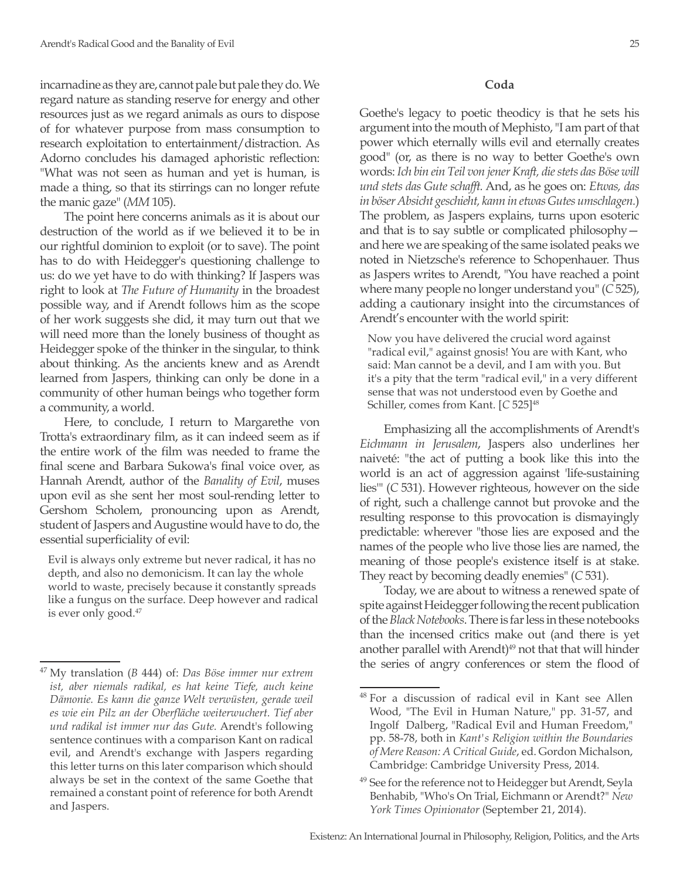incarnadine as they are, cannot pale but pale they do. We regard nature as standing reserve for energy and other resources just as we regard animals as ours to dispose of for whatever purpose from mass consumption to research exploitation to entertainment/distraction. As Adorno concludes his damaged aphoristic reflection: "What was not seen as human and yet is human, is made a thing, so that its stirrings can no longer refute the manic gaze" (*MM* 105).

The point here concerns animals as it is about our destruction of the world as if we believed it to be in our rightful dominion to exploit (or to save). The point has to do with Heidegger's questioning challenge to us: do we yet have to do with thinking? If Jaspers was right to look at *The Future of Humanity* in the broadest possible way, and if Arendt follows him as the scope of her work suggests she did, it may turn out that we will need more than the lonely business of thought as Heidegger spoke of the thinker in the singular, to think about thinking. As the ancients knew and as Arendt learned from Jaspers, thinking can only be done in a community of other human beings who together form a community, a world.

Here, to conclude, I return to Margarethe von Trotta's extraordinary film, as it can indeed seem as if the entire work of the film was needed to frame the final scene and Barbara Sukowa's final voice over, as Hannah Arendt, author of the *Banality of Evil*, muses upon evil as she sent her most soul-rending letter to Gershom Scholem, pronouncing upon as Arendt, student of Jaspers and Augustine would have to do, the essential superficiality of evil:

Evil is always only extreme but never radical, it has no depth, and also no demonicism. It can lay the whole world to waste, precisely because it constantly spreads like a fungus on the surface. Deep however and radical is ever only good.<sup>47</sup>

#### **Coda**

Goethe's legacy to poetic theodicy is that he sets his argument into the mouth of Mephisto, "I am part of that power which eternally wills evil and eternally creates good" (or, as there is no way to better Goethe's own words: *Ich bin ein Teil von jener Kraft, die stets das Böse will und stets das Gute schafft.* And, as he goes on: *Etwas, das in böser Absicht geschieht, kann in etwas Gutes umschlagen.*) The problem, as Jaspers explains, turns upon esoteric and that is to say subtle or complicated philosophy and here we are speaking of the same isolated peaks we noted in Nietzsche's reference to Schopenhauer. Thus as Jaspers writes to Arendt, "You have reached a point where many people no longer understand you" (*C* 525), adding a cautionary insight into the circumstances of Arendt's encounter with the world spirit:

Now you have delivered the crucial word against "radical evil," against gnosis! You are with Kant, who said: Man cannot be a devil, and I am with you. But it's a pity that the term "radical evil," in a very different sense that was not understood even by Goethe and Schiller, comes from Kant. [C 525]<sup>48</sup>

Emphasizing all the accomplishments of Arendt's *Eichmann in Jerusalem*, Jaspers also underlines her naiveté: "the act of putting a book like this into the world is an act of aggression against 'life-sustaining lies'" (*C* 531). However righteous, however on the side of right, such a challenge cannot but provoke and the resulting response to this provocation is dismayingly predictable: wherever "those lies are exposed and the names of the people who live those lies are named, the meaning of those people's existence itself is at stake. They react by becoming deadly enemies" (*C* 531).

Today, we are about to witness a renewed spate of spite against Heidegger following the recent publication of the *Black Notebooks*. There is far less in these notebooks than the incensed critics make out (and there is yet another parallel with Arendt)<sup>49</sup> not that that will hinder the series of angry conferences or stem the flood of

<sup>47</sup> My translation (*B* 444) of: *Das Böse immer nur extrem ist, aber niemals radikal, es hat keine Tiefe, auch keine Dämonie. Es kann die ganze Welt verwüsten, gerade weil es wie ein Pilz an der Oberfläche weiterwuchert. Tief aber und radikal ist immer nur das Gute.* Arendt's following sentence continues with a comparison Kant on radical evil, and Arendt's exchange with Jaspers regarding this letter turns on this later comparison which should always be set in the context of the same Goethe that remained a constant point of reference for both Arendt and Jaspers.

<sup>48</sup> For a discussion of radical evil in Kant see Allen Wood, "The Evil in Human Nature," pp. 31-57, and Ingolf Dalberg, "Radical Evil and Human Freedom," pp. 58-78, both in *Kant's Religion within the Boundaries of Mere Reason: A Critical Guide*, ed. Gordon Michalson, Cambridge: Cambridge University Press, 2014.

<sup>&</sup>lt;sup>49</sup> See for the reference not to Heidegger but Arendt, Seyla Benhabib, "Who's On Trial, Eichmann or Arendt?" *New York Times Opinionator* (September 21, 2014).